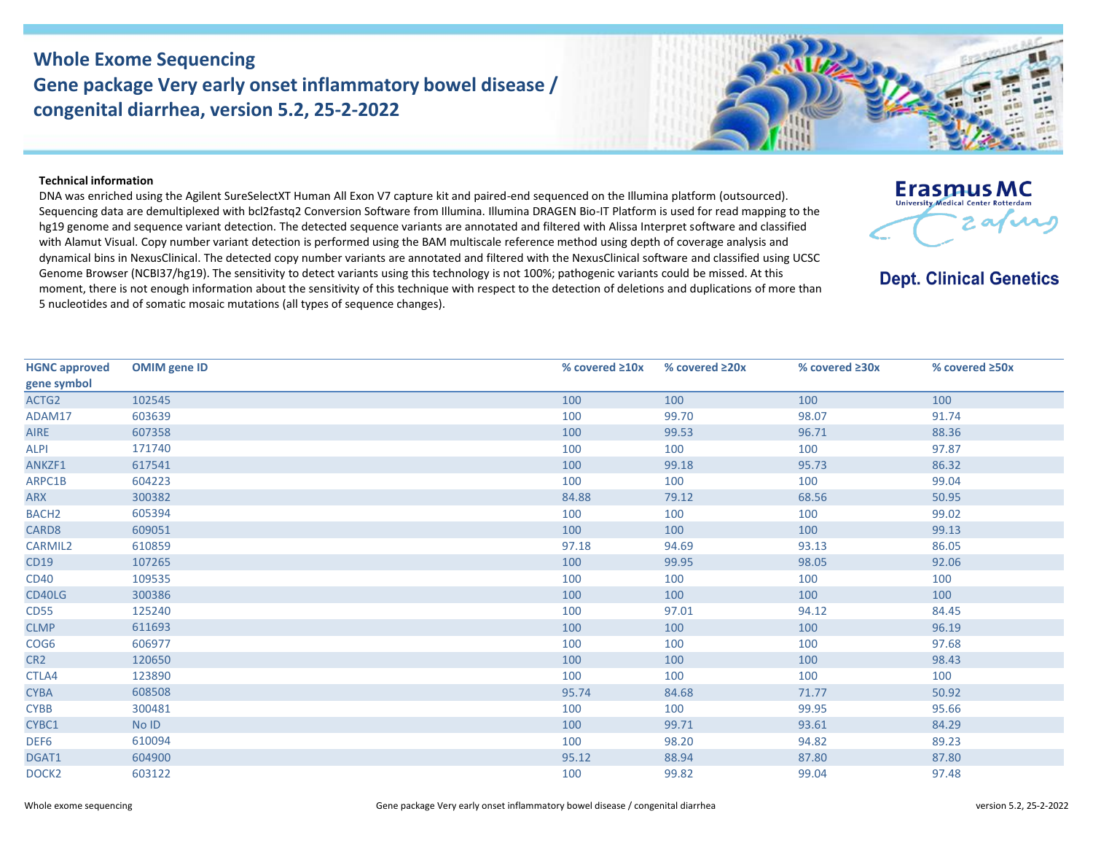## **Whole Exome Sequencing Gene package Very early onset inflammatory bowel disease / congenital diarrhea, version 5.2, 25-2-2022**



## **Technical information**

DNA was enriched using the Agilent SureSelectXT Human All Exon V7 capture kit and paired-end sequenced on the Illumina platform (outsourced). Sequencing data are demultiplexed with bcl2fastq2 Conversion Software from Illumina. Illumina DRAGEN Bio-IT Platform is used for read mapping to the hg19 genome and sequence variant detection. The detected sequence variants are annotated and filtered with Alissa Interpret software and classified with Alamut Visual. Copy number variant detection is performed using the BAM multiscale reference method using depth of coverage analysis and dynamical bins in NexusClinical. The detected copy number variants are annotated and filtered with the NexusClinical software and classified using UCSC Genome Browser (NCBI37/hg19). The sensitivity to detect variants using this technology is not 100%; pathogenic variants could be missed. At this moment, there is not enough information about the sensitivity of this technique with respect to the detection of deletions and duplications of more than 5 nucleotides and of somatic mosaic mutations (all types of sequence changes).



**Dept. Clinical Genetics** 

| <b>HGNC approved</b> | <b>OMIM</b> gene ID | % covered ≥10x | % covered $\geq 20x$ | % covered ≥30x | % covered ≥50x |
|----------------------|---------------------|----------------|----------------------|----------------|----------------|
| gene symbol          |                     |                |                      |                |                |
| ACTG2                | 102545              | 100            | 100                  | 100            | 100            |
| ADAM17               | 603639              | 100            | 99.70                | 98.07          | 91.74          |
| <b>AIRE</b>          | 607358              | 100            | 99.53                | 96.71          | 88.36          |
| <b>ALPI</b>          | 171740              | 100            | 100                  | 100            | 97.87          |
| ANKZF1               | 617541              | 100            | 99.18                | 95.73          | 86.32          |
| ARPC1B               | 604223              | 100            | 100                  | 100            | 99.04          |
| ARX                  | 300382              | 84.88          | 79.12                | 68.56          | 50.95          |
| BACH <sub>2</sub>    | 605394              | 100            | 100                  | 100            | 99.02          |
| CARD8                | 609051              | 100            | 100                  | 100            | 99.13          |
| CARMIL2              | 610859              | 97.18          | 94.69                | 93.13          | 86.05          |
| CD19                 | 107265              | 100            | 99.95                | 98.05          | 92.06          |
| <b>CD40</b>          | 109535              | 100            | 100                  | 100            | 100            |
| CD40LG               | 300386              | 100            | 100                  | 100            | 100            |
| <b>CD55</b>          | 125240              | 100            | 97.01                | 94.12          | 84.45          |
| <b>CLMP</b>          | 611693              | 100            | 100                  | 100            | 96.19          |
| COG6                 | 606977              | 100            | 100                  | 100            | 97.68          |
| CR <sub>2</sub>      | 120650              | 100            | 100                  | 100            | 98.43          |
| CTLA4                | 123890              | 100            | 100                  | 100            | 100            |
| <b>CYBA</b>          | 608508              | 95.74          | 84.68                | 71.77          | 50.92          |
| <b>CYBB</b>          | 300481              | 100            | 100                  | 99.95          | 95.66          |
| CYBC1                | No ID               | 100            | 99.71                | 93.61          | 84.29          |
| DEF <sub>6</sub>     | 610094              | 100            | 98.20                | 94.82          | 89.23          |
| DGAT1                | 604900              | 95.12          | 88.94                | 87.80          | 87.80          |
| DOCK <sub>2</sub>    | 603122              | 100            | 99.82                | 99.04          | 97.48          |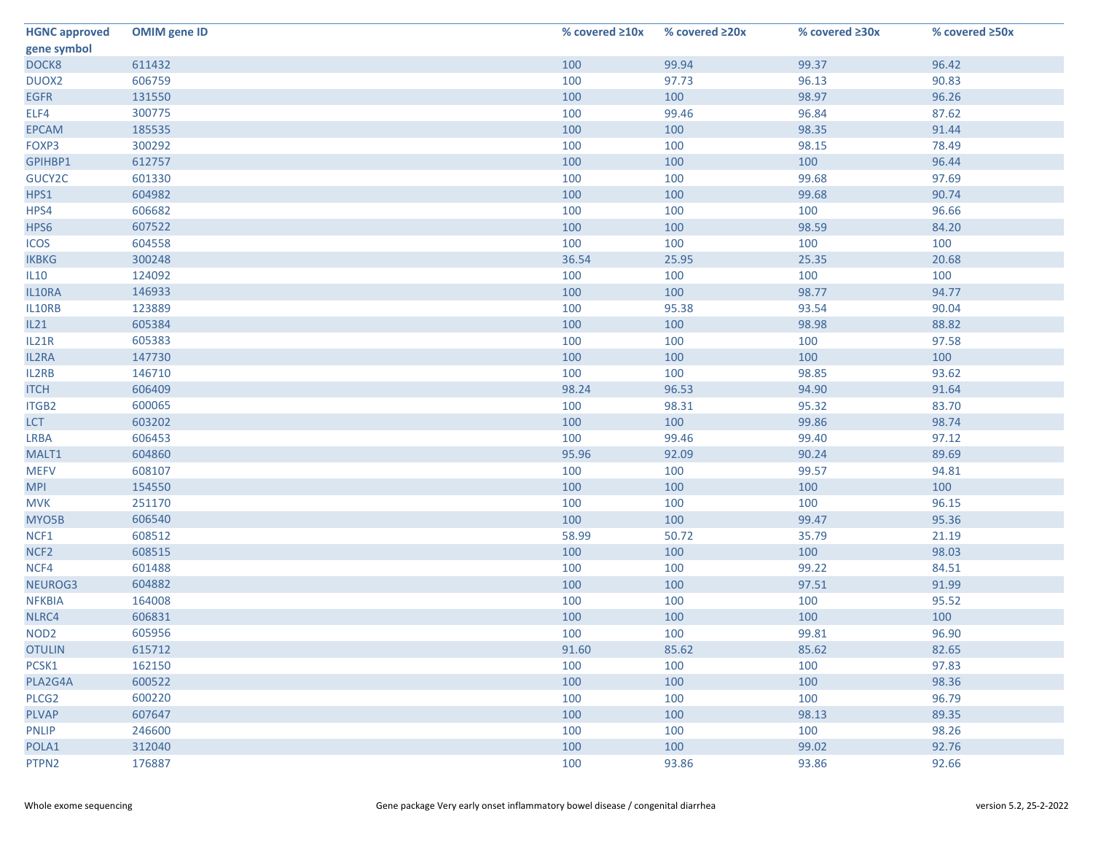| <b>HGNC approved</b> | <b>OMIM gene ID</b> | % covered $\geq 10x$ | % covered ≥20x | % covered ≥30x | % covered ≥50x |
|----------------------|---------------------|----------------------|----------------|----------------|----------------|
| gene symbol          |                     |                      |                |                |                |
| DOCK8                | 611432              | 100                  | 99.94          | 99.37          | 96.42          |
| DUOX2                | 606759              | 100                  | 97.73          | 96.13          | 90.83          |
| <b>EGFR</b>          | 131550              | 100                  | 100            | 98.97          | 96.26          |
| ELF4                 | 300775              | 100                  | 99.46          | 96.84          | 87.62          |
| <b>EPCAM</b>         | 185535              | 100                  | 100            | 98.35          | 91.44          |
| FOXP3                | 300292              | 100                  | 100            | 98.15          | 78.49          |
| GPIHBP1              | 612757              | 100                  | 100            | 100            | 96.44          |
| GUCY2C               | 601330              | 100                  | 100            | 99.68          | 97.69          |
| HPS1                 | 604982              | 100                  | 100            | 99.68          | 90.74          |
| HPS4                 | 606682              | 100                  | 100            | 100            | 96.66          |
| HPS6                 | 607522              | 100                  | 100            | 98.59          | 84.20          |
| <b>ICOS</b>          | 604558              | 100                  | 100            | 100            | 100            |
| <b>IKBKG</b>         | 300248              | 36.54                | 25.95          | 25.35          | 20.68          |
| <b>IL10</b>          | 124092              | 100                  | 100            | 100            | 100            |
| IL10RA               | 146933              | 100                  | 100            | 98.77          | 94.77          |
| IL10RB               | 123889              | 100                  | 95.38          | 93.54          | 90.04          |
| IL21                 | 605384              | 100                  | 100            | 98.98          | 88.82          |
| IL21R                | 605383              | 100                  | 100            | 100            | 97.58          |
| IL2RA                | 147730              | 100                  | 100            | 100            | 100            |
| IL2RB                | 146710              | 100                  | 100            | 98.85          | 93.62          |
| <b>ITCH</b>          | 606409              | 98.24                | 96.53          | 94.90          | 91.64          |
| ITGB2                | 600065              | 100                  | 98.31          | 95.32          | 83.70          |
| <b>LCT</b>           | 603202              | 100                  | 100            | 99.86          | 98.74          |
| <b>LRBA</b>          | 606453              | 100                  | 99.46          | 99.40          | 97.12          |
| MALT1                | 604860              | 95.96                | 92.09          | 90.24          | 89.69          |
| <b>MEFV</b>          | 608107              | 100                  | 100            | 99.57          | 94.81          |
| <b>MPI</b>           | 154550              | 100                  | 100            | 100            | 100            |
| <b>MVK</b>           | 251170              | 100                  | 100            | 100            | 96.15          |
| MYO5B                | 606540              | 100                  | 100            | 99.47          | 95.36          |
| NCF1                 | 608512              | 58.99                | 50.72          | 35.79          | 21.19          |
| NCF <sub>2</sub>     | 608515              | 100                  | 100            | 100            | 98.03          |
| NCF4                 | 601488              | 100                  | 100            | 99.22          | 84.51          |
| NEUROG3              | 604882              | 100                  | 100            | 97.51          | 91.99          |
| <b>NFKBIA</b>        | 164008              | 100                  | 100            | 100            | 95.52          |
| NLRC4                | 606831              | 100                  | 100            | 100            | 100            |
| NOD <sub>2</sub>     | 605956              | 100                  | 100            | 99.81          | 96.90          |
| <b>OTULIN</b>        | 615712              | 91.60                | 85.62          | 85.62          | 82.65          |
| PCSK1                | 162150              | 100                  | 100            | 100            | 97.83          |
| PLA2G4A              | 600522              | 100                  | 100            | 100            | 98.36          |
| PLCG <sub>2</sub>    | 600220              | 100                  | 100            | 100            | 96.79          |
| <b>PLVAP</b>         | 607647              | 100                  | 100            | 98.13          | 89.35          |
| <b>PNLIP</b>         | 246600              | 100                  | 100            | 100            | 98.26          |
| POLA1                | 312040              | 100                  | 100            | 99.02          | 92.76          |
| PTPN2                | 176887              | 100                  | 93.86          | 93.86          | 92.66          |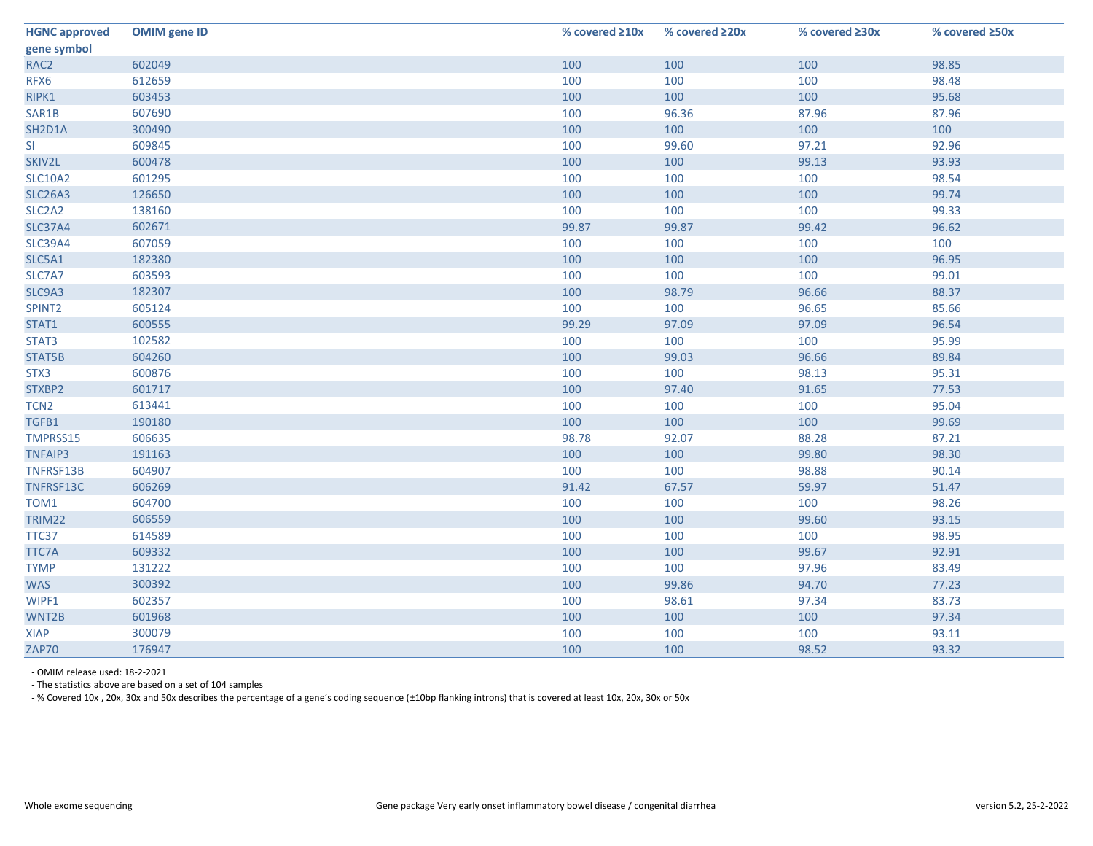| <b>HGNC approved</b>            | <b>OMIM gene ID</b> | % covered $\geq 10x$ | % covered ≥20x | % covered ≥30x | % covered ≥50x |
|---------------------------------|---------------------|----------------------|----------------|----------------|----------------|
| gene symbol                     |                     |                      |                |                |                |
| RAC <sub>2</sub>                | 602049              | 100                  | 100            | 100            | 98.85          |
| RFX6                            | 612659              | 100                  | 100            | 100            | 98.48          |
| RIPK1                           | 603453              | 100                  | 100            | 100            | 95.68          |
| SAR1B                           | 607690              | 100                  | 96.36          | 87.96          | 87.96          |
| SH2D1A                          | 300490              | 100                  | 100            | 100            | 100            |
| <b>SI</b>                       | 609845              | 100                  | 99.60          | 97.21          | 92.96          |
| SKIV2L                          | 600478              | 100                  | 100            | 99.13          | 93.93          |
| <b>SLC10A2</b>                  | 601295              | 100                  | 100            | 100            | 98.54          |
| <b>SLC26A3</b>                  | 126650              | 100                  | 100            | 100            | 99.74          |
| SLC <sub>2</sub> A <sub>2</sub> | 138160              | 100                  | 100            | 100            | 99.33          |
| <b>SLC37A4</b>                  | 602671              | 99.87                | 99.87          | 99.42          | 96.62          |
| <b>SLC39A4</b>                  | 607059              | 100                  | 100            | 100            | 100            |
| SLC5A1                          | 182380              | 100                  | 100            | 100            | 96.95          |
| SLC7A7                          | 603593              | 100                  | 100            | 100            | 99.01          |
| SLC9A3                          | 182307              | 100                  | 98.79          | 96.66          | 88.37          |
| SPINT2                          | 605124              | 100                  | 100            | 96.65          | 85.66          |
| STAT1                           | 600555              | 99.29                | 97.09          | 97.09          | 96.54          |
| STAT3                           | 102582              | 100                  | 100            | 100            | 95.99          |
| STAT5B                          | 604260              | 100                  | 99.03          | 96.66          | 89.84          |
| STX3                            | 600876              | 100                  | 100            | 98.13          | 95.31          |
| STXBP2                          | 601717              | 100                  | 97.40          | 91.65          | 77.53          |
| TCN <sub>2</sub>                | 613441              | 100                  | 100            | 100            | 95.04          |
| TGFB1                           | 190180              | 100                  | 100            | 100            | 99.69          |
| TMPRSS15                        | 606635              | 98.78                | 92.07          | 88.28          | 87.21          |
| <b>TNFAIP3</b>                  | 191163              | 100                  | 100            | 99.80          | 98.30          |
| TNFRSF13B                       | 604907              | 100                  | 100            | 98.88          | 90.14          |
| TNFRSF13C                       | 606269              | 91.42                | 67.57          | 59.97          | 51.47          |
| TOM1                            | 604700              | 100                  | 100            | 100            | 98.26          |
| TRIM22                          | 606559              | 100                  | 100            | 99.60          | 93.15          |
| TTC37                           | 614589              | 100                  | 100            | 100            | 98.95          |
| TTC7A                           | 609332              | 100                  | 100            | 99.67          | 92.91          |
| <b>TYMP</b>                     | 131222              | 100                  | 100            | 97.96          | 83.49          |
| <b>WAS</b>                      | 300392              | 100                  | 99.86          | 94.70          | 77.23          |
| WIPF1                           | 602357              | 100                  | 98.61          | 97.34          | 83.73          |
| WNT2B                           | 601968              | 100                  | 100            | 100            | 97.34          |
| <b>XIAP</b>                     | 300079              | 100                  | 100            | 100            | 93.11          |
| ZAP70                           | 176947              | 100                  | 100            | 98.52          | 93.32          |

- OMIM release used: 18-2-2021

- The statistics above are based on a set of 104 samples

- % Covered 10x , 20x, 30x and 50x describes the percentage of a gene's coding sequence (±10bp flanking introns) that is covered at least 10x, 20x, 30x or 50x